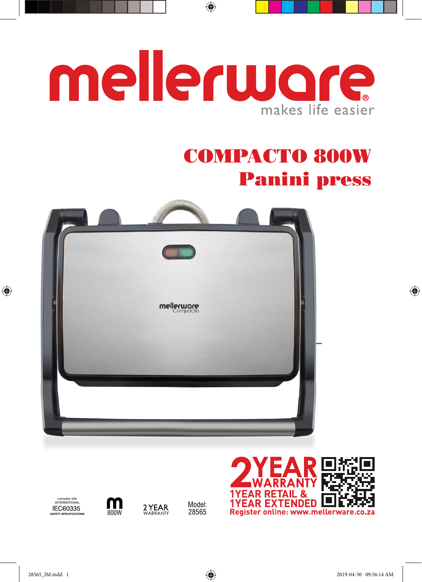# mellerware makes life easier

 $\bigoplus$ 

## COMPACTO 800W Panini press







Model: 28565

2 YEAR



 $\bigoplus$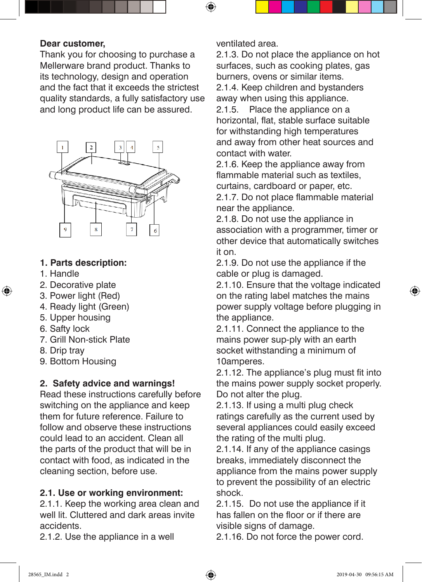#### **Dear customer,**

Thank you for choosing to purchase a Mellerware brand product. Thanks to its technology, design and operation and the fact that it exceeds the strictest quality standards, a fully satisfactory use and long product life can be assured.



#### **1. Parts description:**

1. Handle

⊕

- 2. Decorative plate
- 3. Power light (Red)
- 4. Ready light (Green)
- 5. Upper housing
- 6. Safty lock
- 7. Grill Non-stick Plate
- 8. Drip tray
- 9. Bottom Housing

#### **2. Safety advice and warnings!**

Read these instructions carefully before switching on the appliance and keep them for future reference. Failure to follow and observe these instructions could lead to an accident. Clean all the parts of the product that will be in contact with food, as indicated in the cleaning section, before use.

#### **2.1. Use or working environment:**

2.1.1. Keep the working area clean and well lit. Cluttered and dark areas invite accidents.

2.1.2. Use the appliance in a well

ventilated area.

 $\bigoplus$ 

2.1.3. Do not place the appliance on hot surfaces, such as cooking plates, gas burners, ovens or similar items. 2.1.4. Keep children and bystanders away when using this appliance.

2.1.5. Place the appliance on a horizontal, flat, stable surface suitable for withstanding high temperatures and away from other heat sources and contact with water.

2.1.6. Keep the appliance away from flammable material such as textiles. curtains, cardboard or paper, etc.

2.1.7. Do not place flammable material near the appliance.

2.1.8. Do not use the appliance in association with a programmer, timer or other device that automatically switches it on.

2.1.9. Do not use the appliance if the cable or plug is damaged.

2.1.10. Ensure that the voltage indicated on the rating label matches the mains power supply voltage before plugging in the appliance.

2.1.11. Connect the appliance to the mains power sup-ply with an earth socket withstanding a minimum of 10amperes.

2.1.12. The appliance's plug must fit into the mains power supply socket properly. Do not alter the plug.

2.1.13. If using a multi plug check ratings carefully as the current used by several appliances could easily exceed the rating of the multi plug.

2.1.14. If any of the appliance casings breaks, immediately disconnect the appliance from the mains power supply to prevent the possibility of an electric shock.

2.1.15. Do not use the appliance if it has fallen on the floor or if there are visible signs of damage.

2.1.16. Do not force the power cord.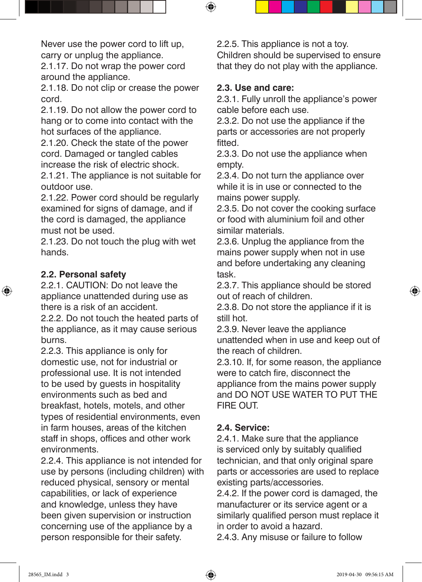Never use the power cord to lift up, carry or unplug the appliance.

2.1.17. Do not wrap the power cord around the appliance.

2.1.18. Do not clip or crease the power cord.

2.1.19. Do not allow the power cord to hang or to come into contact with the hot surfaces of the appliance.

2.1.20. Check the state of the power cord. Damaged or tangled cables increase the risk of electric shock.

2.1.21. The appliance is not suitable for outdoor use.

2.1.22. Power cord should be regularly examined for signs of damage, and if the cord is damaged, the appliance must not be used.

2.1.23. Do not touch the plug with wet hands.

#### **2.2. Personal safety**

⊕

2.2.1. CAUTION: Do not leave the appliance unattended during use as there is a risk of an accident.

2.2.2. Do not touch the heated parts of the appliance, as it may cause serious burns.

2.2.3. This appliance is only for domestic use, not for industrial or professional use. It is not intended to be used by guests in hospitality environments such as bed and breakfast, hotels, motels, and other types of residential environments, even in farm houses, areas of the kitchen staff in shops, offices and other work environments.

2.2.4. This appliance is not intended for use by persons (including children) with reduced physical, sensory or mental capabilities, or lack of experience and knowledge, unless they have been given supervision or instruction concerning use of the appliance by a person responsible for their safety.

2.2.5. This appliance is not a toy. Children should be supervised to ensure that they do not play with the appliance.

#### **2.3. Use and care:**

 $\bigoplus$ 

2.3.1. Fully unroll the appliance's power cable before each use.

2.3.2. Do not use the appliance if the parts or accessories are not properly fitted.

2.3.3. Do not use the appliance when empty.

2.3.4. Do not turn the appliance over while it is in use or connected to the mains power supply.

2.3.5. Do not cover the cooking surface or food with aluminium foil and other similar materials.

2.3.6. Unplug the appliance from the mains power supply when not in use and before undertaking any cleaning task.

2.3.7. This appliance should be stored out of reach of children.

2.3.8. Do not store the appliance if it is still hot.

2.3.9. Never leave the appliance unattended when in use and keep out of the reach of children.

2.3.10. If, for some reason, the appliance were to catch fire, disconnect the appliance from the mains power supply

and DO NOT USE WATER TO PUT THE FIRE OUT.

#### **2.4. Service:**

2.4.1. Make sure that the appliance is serviced only by suitably qualified technician, and that only original spare parts or accessories are used to replace existing parts/accessories.

2.4.2. If the power cord is damaged, the manufacturer or its service agent or a similarly qualified person must replace it in order to avoid a hazard.

2.4.3. Any misuse or failure to follow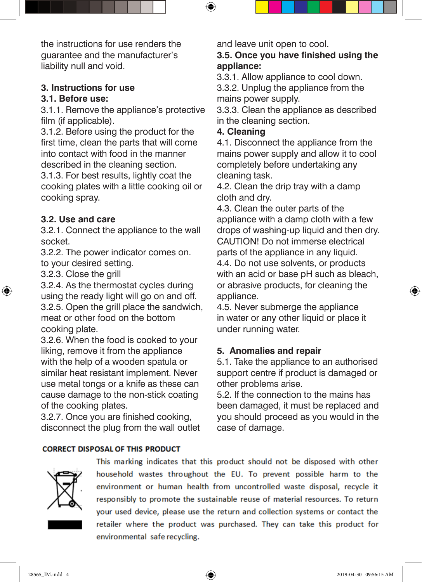the instructions for use renders the guarantee and the manufacturer's liability null and void.

#### **3. Instructions for use**

#### **3.1. Before use:**

3.1.1. Remove the appliance's protective film (if applicable).

3.1.2. Before using the product for the first time, clean the parts that will come into contact with food in the manner described in the cleaning section.

3.1.3. For best results, lightly coat the cooking plates with a little cooking oil or cooking spray.

#### **3.2. Use and care**

3.2.1. Connect the appliance to the wall socket.

3.2.2. The power indicator comes on. to your desired setting.

3.2.3. Close the grill

↔

3.2.4. As the thermostat cycles during using the ready light will go on and off. 3.2.5. Open the grill place the sandwich, meat or other food on the bottom cooking plate.

3.2.6. When the food is cooked to your liking, remove it from the appliance with the help of a wooden spatula or similar heat resistant implement. Never use metal tongs or a knife as these can cause damage to the non-stick coating of the cooking plates.

3.2.7. Once you are finished cooking, disconnect the plug from the wall outlet and leave unit open to cool.

#### **3.5. Once you have finished using the appliance:**

3.3.1. Allow appliance to cool down.

3.3.2. Unplug the appliance from the mains power supply.

3.3.3. Clean the appliance as described in the cleaning section.

#### **4. Cleaning**

↔

4.1. Disconnect the appliance from the mains power supply and allow it to cool completely before undertaking any cleaning task.

4.2. Clean the drip tray with a damp cloth and dry.

4.3. Clean the outer parts of the appliance with a damp cloth with a few drops of washing-up liquid and then dry. CAUTION! Do not immerse electrical parts of the appliance in any liquid. 4.4. Do not use solvents, or products with an acid or base pH such as bleach, or abrasive products, for cleaning the appliance.

4.5. Never submerge the appliance in water or any other liquid or place it under running water.

#### **5. Anomalies and repair**

5.1. Take the appliance to an authorised support centre if product is damaged or other problems arise.

5.2. If the connection to the mains has been damaged, it must be replaced and you should proceed as you would in the case of damage.

#### **CORRECT DISPOSAL OF THIS PRODUCT**



This marking indicates that this product should not be disposed with other household wastes throughout the EU. To prevent possible harm to the environment or human health from uncontrolled waste disposal, recycle it responsibly to promote the sustainable reuse of material resources. To return your used device, please use the return and collection systems or contact the retailer where the product was purchased. They can take this product for environmental safe recycling.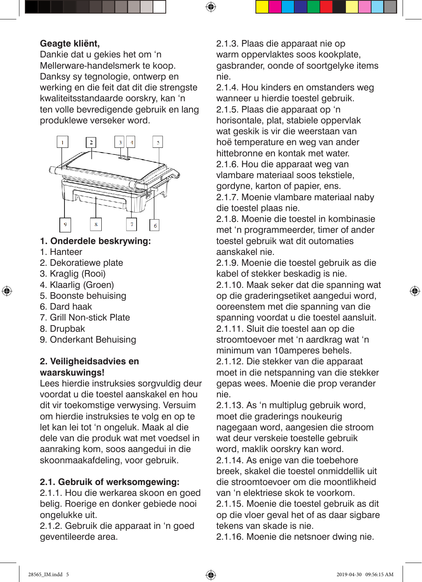#### **Geagte kliënt,**

Dankie dat u gekies het om 'n Mellerware-handelsmerk te koop. Danksy sy tegnologie, ontwerp en werking en die feit dat dit die strengste kwaliteitsstandaarde oorskry, kan 'n ten volle bevredigende gebruik en lang produklewe verseker word.



#### **1. Onderdele beskrywing:**

1. Hanteer

⊕

- 2. Dekoratiewe plate
- 3. Kraglig (Rooi)
- 4. Klaarlig (Groen)
- 5. Boonste behuising
- 6. Dard haak
- 7. Grill Non-stick Plate
- 8. Drupbak
- 9. Onderkant Behuising

#### **2. Veiligheidsadvies en waarskuwings!**

Lees hierdie instruksies sorgvuldig deur voordat u die toestel aanskakel en hou dit vir toekomstige verwysing. Versuim om hierdie instruksies te volg en op te let kan lei tot 'n ongeluk. Maak al die dele van die produk wat met voedsel in aanraking kom, soos aangedui in die skoonmaakafdeling, voor gebruik.

#### **2.1. Gebruik of werksomgewing:**

2.1.1. Hou die werkarea skoon en goed belig. Roerige en donker gebiede nooi ongelukke uit.

2.1.2. Gebruik die apparaat in 'n goed geventileerde area.

2.1.3. Plaas die apparaat nie op warm oppervlaktes soos kookplate, gasbrander, oonde of soortgelyke items nie.

⊕

2.1.4. Hou kinders en omstanders weg wanneer u hierdie toestel gebruik. 2.1.5. Plaas die apparaat op 'n horisontale, plat, stabiele oppervlak wat geskik is vir die weerstaan van hoë temperature en weg van ander hittebronne en kontak met water. 2.1.6. Hou die apparaat weg van vlambare materiaal soos tekstiele, aordyne, karton of papier, ens.

2.1.7. Moenie vlambare materiaal naby die toestel plaas nie.

2.1.8. Moenie die toestel in kombinasie met 'n programmeerder, timer of ander toestel gebruik wat dit outomaties aanskakel nie.

2.1.9. Moenie die toestel gebruik as die kabel of stekker beskadig is nie.

2.1.10. Maak seker dat die spanning wat op die graderingsetiket aangedui word, ooreenstem met die spanning van die spanning voordat u die toestel aansluit. 2.1.11. Sluit die toestel aan op die stroomtoevoer met 'n aardkrag wat 'n minimum van 10amperes behels. 2.1.12. Die stekker van die apparaat moet in die netspanning van die stekker gepas wees. Moenie die prop verander nie.

2.1.13. As 'n multiplug gebruik word, moet die graderings noukeurig nagegaan word, aangesien die stroom wat deur verskeie toestelle gebruik word, maklik oorskry kan word.

2.1.14. As enige van die toebehore breek, skakel die toestel onmiddellik uit die stroomtoevoer om die moontlikheid van 'n elektriese skok te voorkom.

2.1.15. Moenie die toestel gebruik as dit op die vloer geval het of as daar sigbare tekens van skade is nie.

2.1.16. Moenie die netsnoer dwing nie.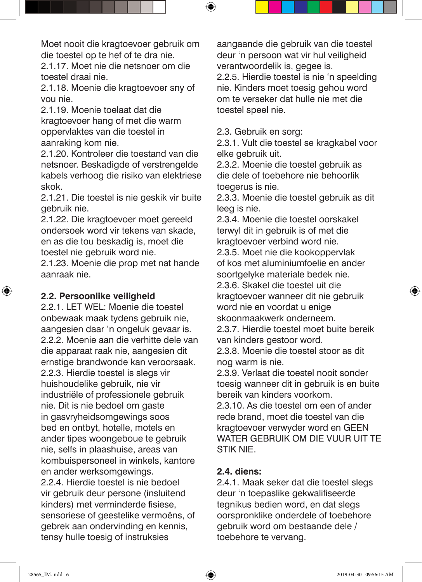Moet nooit die kragtoevoer gebruik om die toestel op te hef of te dra nie.

2.1.17. Moet nie die netsnoer om die toestel draai nie.

2.1.18. Moenie die kragtoevoer sny of vou nie.

2.1.19. Moenie toelaat dat die kragtoevoer hang of met die warm oppervlaktes van die toestel in aanraking kom nie.

2.1.20. Kontroleer die toestand van die netsnoer. Beskadigde of verstrengelde kabels verhoog die risiko van elektriese skok.

2.1.21. Die toestel is nie geskik vir buite gebruik nie.

2.1.22. Die kragtoevoer moet gereeld ondersoek word vir tekens van skade, en as die tou beskadig is, moet die toestel nie gebruik word nie.

2.1.23. Moenie die prop met nat hande aanraak nie.

#### **2.2. Persoonlike veiligheid**

⊕

2.2.1. LET WEL: Moenie die toestel onbewaak maak tydens gebruik nie, aangesien daar 'n ongeluk gevaar is. 2.2.2. Moenie aan die verhitte dele van die apparaat raak nie, aangesien dit ernstige brandwonde kan veroorsaak. 2.2.3. Hierdie toestel is slegs vir huishoudelike gebruik, nie vir industriële of professionele gebruik nie. Dit is nie bedoel om gaste in gasvryheidsomgewings soos bed en ontbyt, hotelle, motels en ander tipes woongeboue te gebruik nie, selfs in plaashuise, areas van kombuispersoneel in winkels, kantore en ander werksomgewings. 2.2.4. Hierdie toestel is nie bedoel vir gebruik deur persone (insluitend kinders) met verminderde fisiese, sensoriese of geestelike vermoëns, of gebrek aan ondervinding en kennis, tensy hulle toesig of instruksies

aangaande die gebruik van die toestel deur 'n persoon wat vir hul veiligheid verantwoordelik is, gegee is. 2.2.5. Hierdie toestel is nie 'n speelding nie. Kinders moet toesig gehou word om te verseker dat hulle nie met die toestel speel nie.

2.3. Gebruik en sorg:

 $\bm{\Theta}$ 

2.3.1. Vult die toestel se kragkabel voor elke gebruik uit.

2.3.2. Moenie die toestel gebruik as die dele of toebehore nie behoorlik toegerus is nie.

2.3.3. Moenie die toestel gebruik as dit leeg is nie.

2.3.4. Moenie die toestel oorskakel terwyl dit in gebruik is of met die kragtoevoer verbind word nie.

2.3.5. Moet nie die kookoppervlak of kos met aluminiumfoelie en ander soortgelyke materiale bedek nie.

2.3.6. Skakel die toestel uit die kragtoevoer wanneer dit nie gebruik word nie en voordat u enige skoonmaakwerk onderneem.

2.3.7. Hierdie toestel moet buite bereik van kinders gestoor word.

2.3.8. Moenie die toestel stoor as dit nog warm is nie.

2.3.9. Verlaat die toestel nooit sonder toesig wanneer dit in gebruik is en buite bereik van kinders voorkom.

2.3.10. As die toestel om een of ander rede brand, moet die toestel van die kragtoevoer verwyder word en GEEN WATER GEBRUIK OM DIE VUUR UIT TE STIK NIE.

#### **2.4. diens:**

2.4.1. Maak seker dat die toestel slegs deur 'n toepaslike gekwalifiseerde tegnikus bedien word, en dat slegs oorspronklike onderdele of toebehore gebruik word om bestaande dele / toebehore te vervang.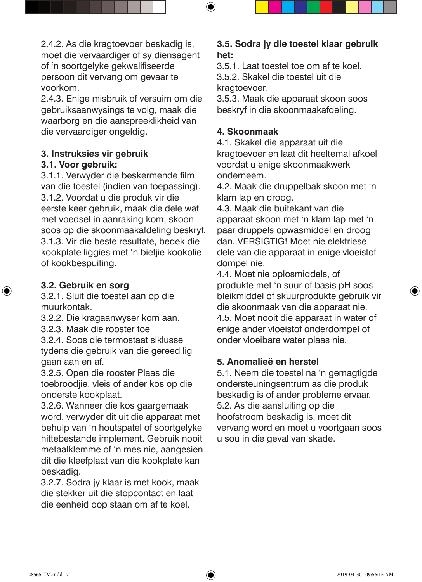2.4.2. As die kragtoevoer beskadig is, moet die vervaardiger of sy diensagent of 'n soortgelyke gekwalifiseerde persoon dit vervang om gevaar te voorkom.

2.4.3. Enige misbruik of versuim om die gebruiksaanwysings te volg, maak die waarborg en die aanspreeklikheid van die vervaardiger ongeldig.

#### **3. Instruksies vir gebruik**

#### **3.1. Voor gebruik:**

3.1.1. Verwyder die beskermende film van die toestel (indien van toepassing). 3.1.2. Voordat u die produk vir die eerste keer gebruik, maak die dele wat met voedsel in aanraking kom, skoon soos op die skoonmaakafdeling beskryf. 3.1.3. Vir die beste resultate, bedek die kookplate liggies met 'n bietjie kookolie of kookbespuiting.

#### **3.2. Gebruik en sorg**

⊕

3.2.1. Sluit die toestel aan op die muurkontak.

3.2.2. Die kragaanwyser kom aan.

3.2.3. Maak die rooster toe

3.2.4. Soos die termostaat siklusse tydens die gebruik van die gereed lig gaan aan en af.

3.2.5. Open die rooster Plaas die toebroodjie, vleis of ander kos op die onderste kookplaat.

3.2.6. Wanneer die kos gaargemaak word, verwyder dit uit die apparaat met behulp van 'n houtspatel of soortgelyke hittebestande implement. Gebruik nooit metaalklemme of 'n mes nie, aangesien dit die kleefplaat van die kookplate kan beskadig.

3.2.7. Sodra jy klaar is met kook, maak die stekker uit die stopcontact en laat die eenheid oop staan om af te koel.

#### **3.5. Sodra jy die toestel klaar gebruik het:**

3.5.1. Laat toestel toe om af te koel. 3.5.2. Skakel die toestel uit die kragtoevoer.

3.5.3. Maak die apparaat skoon soos beskryf in die skoonmaakafdeling.

#### **4. Skoonmaak**

 $\bigoplus$ 

4.1. Skakel die apparaat uit die kragtoevoer en laat dit heeltemal afkoel voordat u enige skoonmaakwerk onderneem.

4.2. Maak die druppelbak skoon met 'n klam lap en droog.

4.3. Maak die buitekant van die apparaat skoon met 'n klam lap met 'n paar druppels opwasmiddel en droog dan. VERSIGTIG! Moet nie elektriese dele van die apparaat in enige vloeistof dompel nie.

4.4. Moet nie oplosmiddels, of produkte met 'n suur of basis pH soos bleikmiddel of skuurprodukte gebruik vir die skoonmaak van die apparaat nie. 4.5. Moet nooit die apparaat in water of enige ander vloeistof onderdompel of onder vloeibare water plaas nie.

#### **5. Anomalieë en herstel**

5.1. Neem die toestel na 'n gemagtigde ondersteuningsentrum as die produk beskadig is of ander probleme ervaar. 5.2. As die aansluiting op die hoofstroom beskadig is, moet dit vervang word en moet u voortgaan soos u sou in die geval van skade.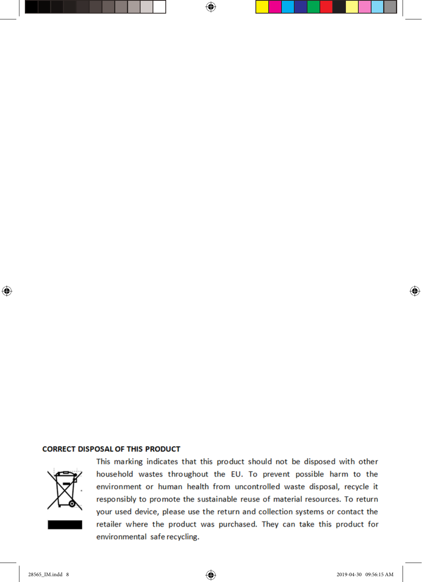#### **CORRECT DISPOSAL OF THIS PRODUCT**



⊕

This marking indicates that this product should not be disposed with other household wastes throughout the EU. To prevent possible harm to the environment or human health from uncontrolled waste disposal, recycle it responsibly to promote the sustainable reuse of material resources. To return your used device, please use the return and collection systems or contact the retailer where the product was purchased. They can take this product for environmental safe recycling.

⊕

 $\bigoplus$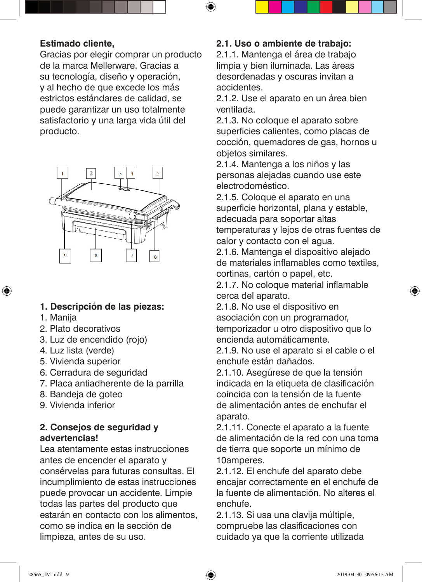#### **Estimado cliente,**

Gracias por elegir comprar un producto de la marca Mellerware. Gracias a su tecnología, diseño y operación, y al hecho de que excede los más estrictos estándares de calidad, se puede garantizar un uso totalmente satisfactorio y una larga vida útil del producto.



#### **1. Descripción de las piezas:**

1. Manija

⊕

- 2. Plato decorativos
- 3. Luz de encendido (rojo)
- 4. Luz lista (verde)
- 5. Vivienda superior
- 6. Cerradura de seguridad
- 7. Placa antiadherente de la parrilla
- 8. Bandeja de goteo
- 9. Vivienda inferior

#### **2. Consejos de seguridad y advertencias!**

Lea atentamente estas instrucciones antes de encender el aparato y consérvelas para futuras consultas. El incumplimiento de estas instrucciones puede provocar un accidente. Limpie todas las partes del producto que estarán en contacto con los alimentos, como se indica en la sección de limpieza, antes de su uso.

#### **2.1. Uso o ambiente de trabajo:**

 $\bigoplus$ 

2.1.1. Mantenga el área de trabajo limpia y bien iluminada. Las áreas desordenadas y oscuras invitan a accidentes.

2.1.2. Use el aparato en un área bien ventilada.

2.1.3. No coloque el aparato sobre superficies calientes, como placas de cocción, quemadores de gas, hornos u objetos similares.

2.1.4. Mantenga a los niños y las personas alejadas cuando use este electrodoméstico.

2.1.5. Coloque el aparato en una superficie horizontal, plana y estable, adecuada para soportar altas temperaturas y lejos de otras fuentes de calor y contacto con el agua.

2.1.6. Mantenga el dispositivo alejado de materiales inflamables como textiles, cortinas, cartón o papel, etc.

2.1.7. No coloque material inflamable cerca del aparato.

2.1.8. No use el dispositivo en asociación con un programador, temporizador u otro dispositivo que lo encienda automáticamente.

2.1.9. No use el aparato si el cable o el enchufe están dañados.

2.1.10. Asegúrese de que la tensión indicada en la etiqueta de clasificación coincida con la tensión de la fuente de alimentación antes de enchufar el aparato.

2.1.11. Conecte el aparato a la fuente de alimentación de la red con una toma de tierra que soporte un mínimo de 10amperes.

2.1.12. El enchufe del aparato debe encajar correctamente en el enchufe de la fuente de alimentación. No alteres el enchufe.

2.1.13. Si usa una clavija múltiple, compruebe las clasificaciones con cuidado ya que la corriente utilizada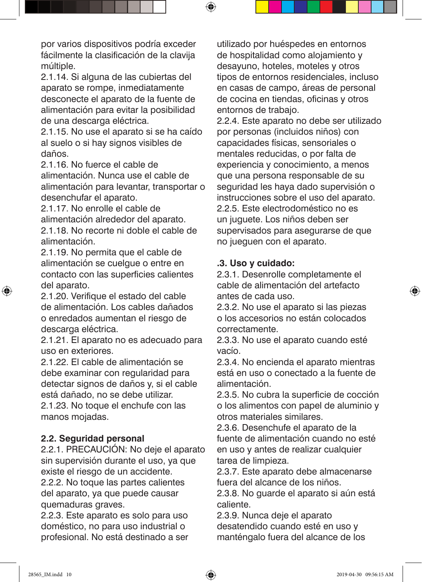por varios dispositivos podría exceder fácilmente la clasificación de la clavija múltiple.

2.1.14. Si alguna de las cubiertas del aparato se rompe, inmediatamente desconecte el aparato de la fuente de alimentación para evitar la posibilidad de una descarga eléctrica.

2.1.15. No use el aparato si se ha caído al suelo o si hay signos visibles de daños.

2.1.16. No fuerce el cable de alimentación. Nunca use el cable de alimentación para levantar, transportar o desenchufar el aparato.

2.1.17. No enrolle el cable de alimentación alrededor del aparato. 2.1.18. No recorte ni doble el cable de alimentación.

2.1.19. No permita que el cable de alimentación se cuelgue o entre en contacto con las superficies calientes del aparato.

2.1.20. Verifique el estado del cable de alimentación. Los cables dañados o enredados aumentan el riesgo de descarga eléctrica.

2.1.21. El aparato no es adecuado para uso en exteriores.

2.1.22. El cable de alimentación se debe examinar con regularidad para detectar signos de daños y, si el cable está dañado, no se debe utilizar. 2.1.23. No toque el enchufe con las

manos mojadas.

#### **2.2. Seguridad personal**

2.2.1. PRECAUCIÓN: No deje el aparato sin supervisión durante el uso, ya que existe el riesgo de un accidente. 2.2.2. No toque las partes calientes del aparato, ya que puede causar quemaduras graves.

2.2.3. Este aparato es solo para uso doméstico, no para uso industrial o profesional. No está destinado a ser utilizado por huéspedes en entornos de hospitalidad como alojamiento y desayuno, hoteles, moteles y otros tipos de entornos residenciales, incluso en casas de campo, áreas de personal de cocina en tiendas, oficinas y otros entornos de trabajo.

2.2.4. Este aparato no debe ser utilizado por personas (incluidos niños) con capacidades físicas, sensoriales o mentales reducidas, o por falta de experiencia y conocimiento, a menos que una persona responsable de su seguridad les haya dado supervisión o instrucciones sobre el uso del aparato. 2.2.5. Este electrodoméstico no es un juguete. Los niños deben ser supervisados para asegurarse de que no jueguen con el aparato.

#### **.3. Uso y cuidado:**

⊕

2.3.1. Desenrolle completamente el cable de alimentación del artefacto antes de cada uso.

2.3.2. No use el aparato si las piezas o los accesorios no están colocados correctamente.

2.3.3. No use el aparato cuando esté vacío.

2.3.4. No encienda el aparato mientras está en uso o conectado a la fuente de alimentación.

2.3.5. No cubra la superficie de cocción o los alimentos con papel de aluminio y otros materiales similares.

2.3.6. Desenchufe el aparato de la fuente de alimentación cuando no esté en uso y antes de realizar cualquier tarea de limpieza.

2.3.7. Este aparato debe almacenarse fuera del alcance de los niños.

2.3.8. No guarde el aparato si aún está caliente.

2.3.9. Nunca deje el aparato desatendido cuando esté en uso y manténgalo fuera del alcance de los

↔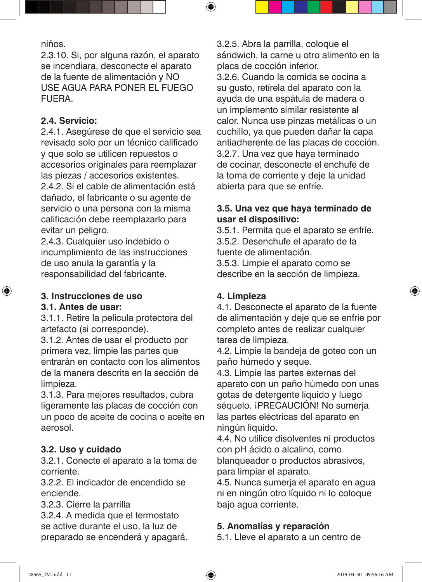niños.

2.3.10. Si, por alguna razón, el aparato se incendiara, desconecte el aparato de la fuente de alimentación y NO USE AGUA PARA PONER EL FUEGO FUERA.

#### **2.4. Servicio:**

2.4.1. Asegúrese de que el servicio sea revisado solo por un técnico calificado y que solo se utilicen repuestos o accesorios originales para reemplazar las piezas / accesorios existentes. 2.4.2. Si el cable de alimentación está dañado, el fabricante o su agente de servicio o una persona con la misma calificación debe reemplazarlo para evitar un peligro.

2.4.3. Cualquier uso indebido o incumplimiento de las instrucciones de uso anula la garantía y la responsabilidad del fabricante.

#### **3. Instrucciones de uso 3.1. Antes de usar:**

↔

3.1.1. Retire la película protectora del artefacto (si corresponde).

3.1.2. Antes de usar el producto por primera vez, limpie las partes que entrarán en contacto con los alimentos de la manera descrita en la sección de limpieza.

3.1.3. Para mejores resultados, cubra ligeramente las placas de cocción con un poco de aceite de cocina o aceite en aerosol.

#### **3.2. Uso y cuidado**

3.2.1. Conecte el aparato a la toma de corriente.

3.2.2. El indicador de encendido se enciende.

3.2.3. Cierre la parrilla

3.2.4. A medida que el termostato se active durante el uso, la luz de preparado se encenderá y apagará. 3.2.5. Abra la parrilla, coloque el sándwich, la carne u otro alimento en la placa de cocción inferior. 3.2.6. Cuando la comida se cocina a su gusto, retírela del aparato con la ayuda de una espátula de madera o un implemento similar resistente al calor. Nunca use pinzas metálicas o un cuchillo, ya que pueden dañar la capa antiadherente de las placas de cocción. 3.2.7. Una vez que haya terminado de cocinar, desconecte el enchufe de la toma de corriente y deje la unidad abierta para que se enfríe.

#### **3.5. Una vez que haya terminado de usar el dispositivo:**

3.5.1. Permita que el aparato se enfríe. 3.5.2. Desenchufe el aparato de la fuente de alimentación. 3.5.3. Limpie el aparato como se describe en la sección de limpieza.

#### **4. Limpieza**

 $\bm{\Theta}$ 

4.1. Desconecte el aparato de la fuente de alimentación y deje que se enfríe por completo antes de realizar cualquier tarea de limpieza.

4.2. Limpie la bandeja de goteo con un paño húmedo y seque.

4.3. Limpie las partes externas del aparato con un paño húmedo con unas gotas de detergente líquido y luego séquelo. ¡PRECAUCIÓN! No sumerja las partes eléctricas del aparato en ningún líquido.

4.4. No utilice disolventes ni productos con pH ácido o alcalino, como blanqueador o productos abrasivos, para limpiar el aparato.

4.5. Nunca sumerja el aparato en agua ni en ningún otro líquido ni lo coloque bajo agua corriente.

#### **5. Anomalías y reparación**

5.1. Lleve el aparato a un centro de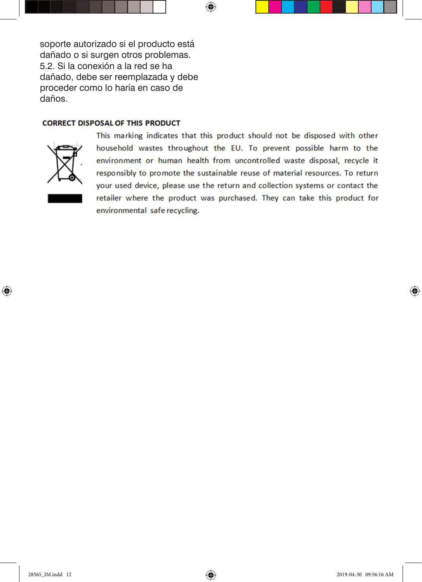soporte autorizado si el producto está dañado o si surgen otros problemas. 5.2. Si la conexión a la red se ha dañado, debe ser reemplazada y debe proceder como lo haría en caso de daños.

#### **CORRECT DISPOSAL OF THIS PRODUCT**



⊕

This marking indicates that this product should not be disposed with other household wastes throughout the EU. To prevent possible harm to the environment or human health from uncontrolled waste disposal, recycle it responsibly to promote the sustainable reuse of material resources. To return your used device, please use the return and collection systems or contact the retailer where the product was purchased. They can take this product for environmental safe recycling.

 $\bigoplus$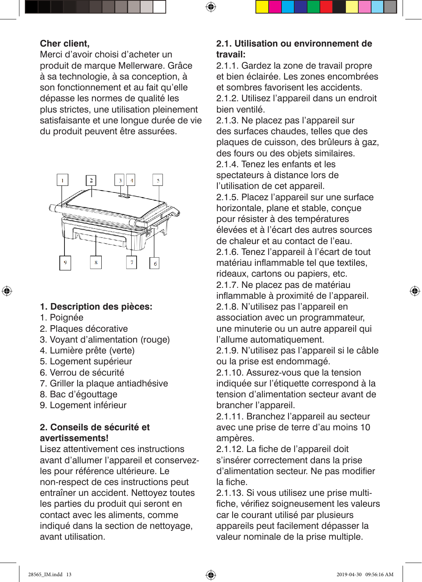#### **Cher client,**

Merci d'avoir choisi d'acheter un produit de marque Mellerware. Grâce à sa technologie, à sa conception, à son fonctionnement et au fait qu'elle dépasse les normes de qualité les plus strictes, une utilisation pleinement satisfaisante et une longue durée de vie du produit peuvent être assurées.



#### **1. Description des pièces:**

1. Poignée

⊕

- 2. Plaques décorative
- 3. Voyant d'alimentation (rouge)
- 4. Lumière prête (verte)
- 5. Logement supérieur
- 6. Verrou de sécurité
- 7. Griller la plaque antiadhésive
- 8. Bac d'égouttage
- 9. Logement inférieur

#### **2. Conseils de sécurité et avertissements!**

Lisez attentivement ces instructions avant d'allumer l'appareil et conservezles pour référence ultérieure. Le non-respect de ces instructions peut entraîner un accident. Nettoyez toutes les parties du produit qui seront en contact avec les aliments, comme indiqué dans la section de nettoyage, avant utilisation.

#### **2.1. Utilisation ou environnement de travail:**

⊕

2.1.1. Gardez la zone de travail propre et bien éclairée. Les zones encombrées et sombres favorisent les accidents. 2.1.2. Utilisez l'appareil dans un endroit bien ventilé.

2.1.3. Ne placez pas l'appareil sur des surfaces chaudes, telles que des plaques de cuisson, des brûleurs à gaz, des fours ou des objets similaires.

2.1.4. Tenez les enfants et les spectateurs à distance lors de l'utilisation de cet appareil.

2.1.5. Placez l'appareil sur une surface horizontale, plane et stable, conçue pour résister à des températures élevées et à l'écart des autres sources de chaleur et au contact de l'eau. 2.1.6. Tenez l'appareil à l'écart de tout matériau inflammable tel que textiles, rideaux, cartons ou papiers, etc. 2.1.7. Ne placez pas de matériau inflammable à proximité de l'appareil. 2.1.8. N'utilisez pas l'appareil en association avec un programmateur, une minuterie ou un autre appareil qui l'allume automatiquement.

2.1.9. N'utilisez pas l'appareil si le câble ou la prise est endommagé.

2.1.10. Assurez-vous que la tension indiquée sur l'étiquette correspond à la tension d'alimentation secteur avant de brancher l'appareil.

2.1.11. Branchez l'appareil au secteur avec une prise de terre d'au moins 10 ampères.

2.1.12. La fiche de l'appareil doit s'insérer correctement dans la prise d'alimentation secteur. Ne pas modifier la fiche.

2.1.13. Si vous utilisez une prise multifiche, vérifiez soigneusement les valeurs car le courant utilisé par plusieurs appareils peut facilement dépasser la valeur nominale de la prise multiple.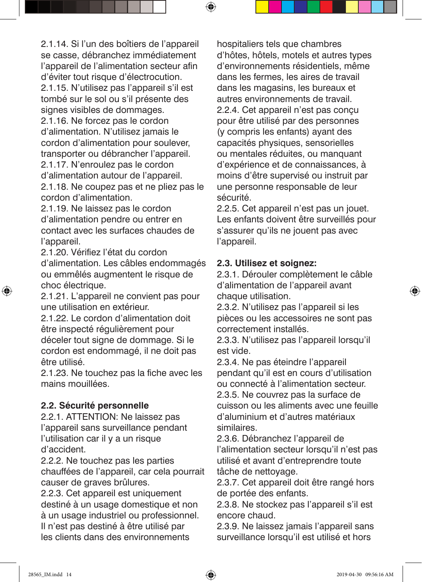2.1.14. Si l'un des boîtiers de l'appareil se casse, débranchez immédiatement l'appareil de l'alimentation secteur afin d'éviter tout risque d'électrocution. 2.1.15. N'utilisez pas l'appareil s'il est tombé sur le sol ou s'il présente des signes visibles de dommages.

 $\bm \Theta$ 

2.1.16. Ne forcez pas le cordon d'alimentation. N'utilisez jamais le cordon d'alimentation pour soulever, transporter ou débrancher l'appareil. 2.1.17. N'enroulez pas le cordon d'alimentation autour de l'appareil.

2.1.18. Ne coupez pas et ne pliez pas le cordon d'alimentation.

2.1.19. Ne laissez pas le cordon d'alimentation pendre ou entrer en contact avec les surfaces chaudes de l'appareil.

2.1.20. Vérifiez l'état du cordon d'alimentation. Les câbles endommagés ou emmêlés augmentent le risque de choc électrique.

2.1.21. L'appareil ne convient pas pour une utilisation en extérieur.

2.1.22. Le cordon d'alimentation doit être inspecté régulièrement pour déceler tout signe de dommage. Si le cordon est endommagé, il ne doit pas être utilisé.

2.1.23. Ne touchez pas la fiche avec les mains mouillées.

#### **2.2. Sécurité personnelle**

2.2.1. ATTENTION: Ne laissez pas l'appareil sans surveillance pendant l'utilisation car il y a un risque d'accident.

2.2.2. Ne touchez pas les parties chauffées de l'appareil, car cela pourrait causer de graves brûlures.

2.2.3. Cet appareil est uniquement destiné à un usage domestique et non à un usage industriel ou professionnel. Il n'est pas destiné à être utilisé par les clients dans des environnements

hospitaliers tels que chambres d'hôtes, hôtels, motels et autres types d'environnements résidentiels, même dans les fermes, les aires de travail dans les magasins, les bureaux et autres environnements de travail. 2.2.4. Cet appareil n'est pas conçu pour être utilisé par des personnes (y compris les enfants) ayant des capacités physiques, sensorielles ou mentales réduites, ou manquant d'expérience et de connaissances, à moins d'être supervisé ou instruit par une personne responsable de leur sécurité.

2.2.5. Cet appareil n'est pas un jouet. Les enfants doivent être surveillés pour s'assurer qu'ils ne jouent pas avec l'appareil.

#### **2.3. Utilisez et soignez:**

2.3.1. Dérouler complètement le câble d'alimentation de l'appareil avant chaque utilisation.

2.3.2. N'utilisez pas l'appareil si les pièces ou les accessoires ne sont pas correctement installés.

2.3.3. N'utilisez pas l'appareil lorsqu'il est vide.

2.3.4. Ne pas éteindre l'appareil pendant qu'il est en cours d'utilisation ou connecté à l'alimentation secteur. 2.3.5. Ne couvrez pas la surface de cuisson ou les aliments avec une feuille d'aluminium et d'autres matériaux similaires.

2.3.6. Débranchez l'appareil de l'alimentation secteur lorsqu'il n'est pas utilisé et avant d'entreprendre toute tâche de nettoyage.

2.3.7. Cet appareil doit être rangé hors de portée des enfants.

2.3.8. Ne stockez pas l'appareil s'il est encore chaud.

2.3.9. Ne laissez jamais l'appareil sans surveillance lorsqu'il est utilisé et hors

↔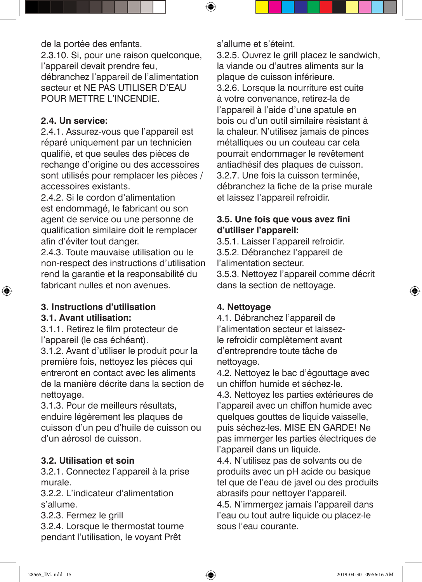de la portée des enfants. 2.3.10. Si, pour une raison quelconque, l'appareil devait prendre feu, débranchez l'appareil de l'alimentation secteur et NE PAS UTILISER D'EAU POUR METTRE L'INCENDIE.

#### **2.4. Un service:**

2.4.1. Assurez-vous que l'appareil est réparé uniquement par un technicien qualifié, et que seules des pièces de rechange d'origine ou des accessoires sont utilisés pour remplacer les pièces / accessoires existants.

2.4.2. Si le cordon d'alimentation est endommagé, le fabricant ou son agent de service ou une personne de qualification similaire doit le remplacer afin d'éviter tout danger.

2.4.3. Toute mauvaise utilisation ou le non-respect des instructions d'utilisation rend la garantie et la responsabilité du fabricant nulles et non avenues.

#### **3. Instructions d'utilisation 3.1. Avant utilisation:**

⊕

3.1.1. Retirez le film protecteur de l'appareil (le cas échéant).

3.1.2. Avant d'utiliser le produit pour la première fois, nettoyez les pièces qui entreront en contact avec les aliments de la manière décrite dans la section de nettoyage.

3.1.3. Pour de meilleurs résultats, enduire légèrement les plaques de cuisson d'un peu d'huile de cuisson ou d'un aérosol de cuisson.

#### **3.2. Utilisation et soin**

3.2.1. Connectez l'appareil à la prise murale.

3.2.2. L'indicateur d'alimentation s'allume.

3.2.3. Fermez le grill

3.2.4. Lorsque le thermostat tourne pendant l'utilisation, le voyant Prêt

s'allume et s'éteint.

⊕

3.2.5. Ouvrez le grill placez le sandwich, la viande ou d'autres aliments sur la plaque de cuisson inférieure. 3.2.6. Lorsque la nourriture est cuite à votre convenance, retirez-la de l'appareil à l'aide d'une spatule en bois ou d'un outil similaire résistant à la chaleur. N'utilisez jamais de pinces métalliques ou un couteau car cela pourrait endommager le revêtement antiadhésif des plaques de cuisson. 3.2.7. Une fois la cuisson terminée, débranchez la fiche de la prise murale et laissez l'appareil refroidir.

#### **3.5. Une fois que vous avez fini d'utiliser l'appareil:**

3.5.1. Laisser l'appareil refroidir. 3.5.2. Débranchez l'appareil de l'alimentation secteur. 3.5.3. Nettoyez l'appareil comme décrit dans la section de nettoyage.

#### **4. Nettoyage**

4.1. Débranchez l'appareil de l'alimentation secteur et laissezle refroidir complètement avant d'entreprendre toute tâche de nettoyage.

4.2. Nettoyez le bac d'égouttage avec un chiffon humide et séchez-le.

4.3. Nettoyez les parties extérieures de l'appareil avec un chiffon humide avec quelques gouttes de liquide vaisselle, puis séchez-les. MISE EN GARDE! Ne pas immerger les parties électriques de l'appareil dans un liquide.

4.4. N'utilisez pas de solvants ou de produits avec un pH acide ou basique tel que de l'eau de javel ou des produits abrasifs pour nettoyer l'appareil.

4.5. N'immergez jamais l'appareil dans l'eau ou tout autre liquide ou placez-le sous l'eau courante.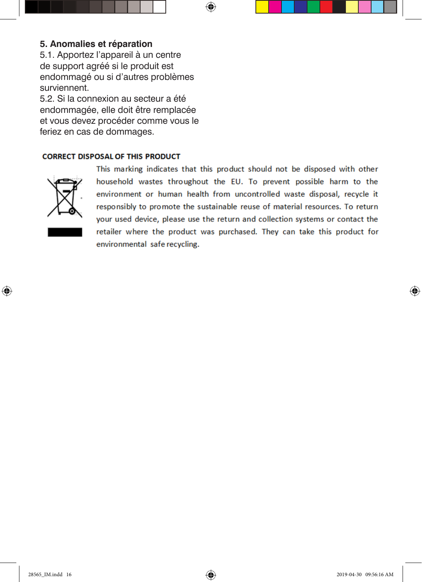#### **5. Anomalies et réparation**

5.1. Apportez l'appareil à un centre de support agréé si le produit est endommagé ou si d'autres problèmes surviennent.

5.2. Si la connexion au secteur a été endommagée, elle doit être remplacée et vous devez procéder comme vous le feriez en cas de dommages.

#### **CORRECT DISPOSAL OF THIS PRODUCT**



⊕

This marking indicates that this product should not be disposed with other household wastes throughout the EU. To prevent possible harm to the environment or human health from uncontrolled waste disposal, recycle it responsibly to promote the sustainable reuse of material resources. To return your used device, please use the return and collection systems or contact the retailer where the product was purchased. They can take this product for environmental safe recycling.

 $\bigoplus$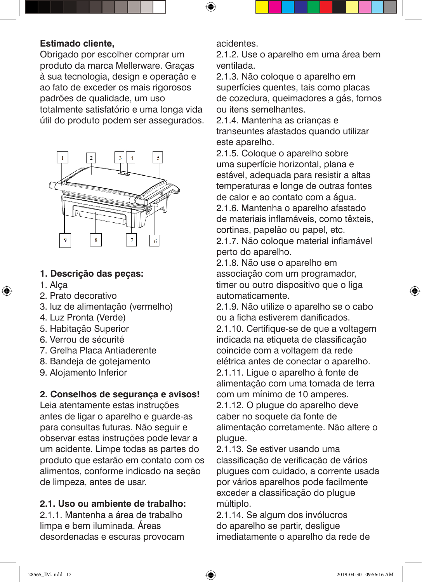#### **Estimado cliente,**

Obrigado por escolher comprar um produto da marca Mellerware. Graças à sua tecnologia, design e operação e ao fato de exceder os mais rigorosos padrões de qualidade, um uso totalmente satisfatório e uma longa vida útil do produto podem ser assegurados.



#### **1. Descrição das peças:**

1. Alça

⊕

- 2. Prato decorativo
- 3. luz de alimentação (vermelho)
- 4. Luz Pronta (Verde)
- 5. Habitação Superior
- 6. Verrou de sécurité
- 7. Grelha Placa Antiaderente
- 8. Bandeja de gotejamento
- 9. Alojamento Inferior

#### **2. Conselhos de segurança e avisos!**

Leia atentamente estas instruções antes de ligar o aparelho e guarde-as para consultas futuras. Não seguir e observar estas instruções pode levar a um acidente. Limpe todas as partes do produto que estarão em contato com os alimentos, conforme indicado na seção de limpeza, antes de usar.

#### **2.1. Uso ou ambiente de trabalho:**

2.1.1. Mantenha a área de trabalho limpa e bem iluminada. Áreas desordenadas e escuras provocam acidentes.

 $\bm \Theta$ 

2.1.2. Use o aparelho em uma área bem ventilada.

2.1.3. Não coloque o aparelho em superfícies quentes, tais como placas de cozedura, queimadores a gás, fornos ou itens semelhantes.

2.1.4. Mantenha as crianças e transeuntes afastados quando utilizar este aparelho.

2.1.5. Coloque o aparelho sobre uma superfície horizontal, plana e estável, adequada para resistir a altas temperaturas e longe de outras fontes de calor e ao contato com a água. 2.1.6. Mantenha o aparelho afastado de materiais inflamáveis, como têxteis,

cortinas, papelão ou papel, etc. 2.1.7. Não coloque material inflamável perto do aparelho.

2.1.8. Não use o aparelho em associação com um programador, timer ou outro dispositivo que o liga automaticamente.

2.1.9. Não utilize o aparelho se o cabo ou a ficha estiverem danificados. 2.1.10. Certifique-se de que a voltagem indicada na etiqueta de classificação coincide com a voltagem da rede elétrica antes de conectar o aparelho. 2.1.11. Ligue o aparelho à fonte de alimentação com uma tomada de terra com um mínimo de 10 amperes.

2.1.12. O plugue do aparelho deve caber no soquete da fonte de alimentação corretamente. Não altere o plugue.

2.1.13. Se estiver usando uma classificação de verificação de vários plugues com cuidado, a corrente usada por vários aparelhos pode facilmente exceder a classificação do plugue múltiplo.

2.1.14. Se algum dos invólucros do aparelho se partir, desligue imediatamente o aparelho da rede de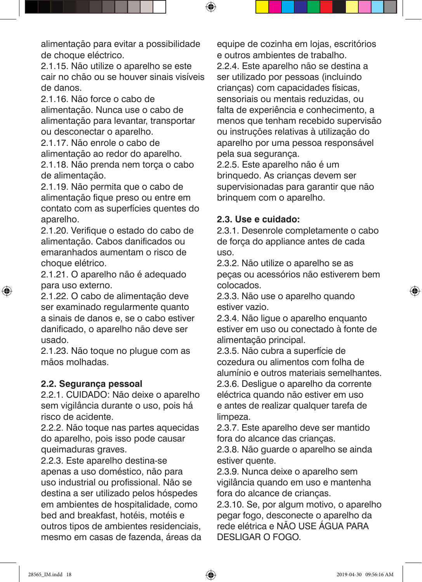alimentação para evitar a possibilidade de choque eléctrico.

2.1.15. Não utilize o aparelho se este cair no chão ou se houver sinais visíveis de danos.

2.1.16. Não force o cabo de alimentação. Nunca use o cabo de alimentação para levantar, transportar ou desconectar o aparelho.

2.1.17. Não enrole o cabo de alimentação ao redor do aparelho. 2.1.18. Não prenda nem torça o cabo de alimentação.

2.1.19. Não permita que o cabo de alimentação fique preso ou entre em contato com as superfícies quentes do aparelho.

2.1.20. Verifique o estado do cabo de alimentação. Cabos danificados ou emaranhados aumentam o risco de choque elétrico.

2.1.21. O aparelho não é adequado para uso externo.

2.1.22. O cabo de alimentação deve ser examinado regularmente quanto a sinais de danos e, se o cabo estiver danificado, o aparelho não deve ser usado.

2.1.23. Não toque no plugue com as mãos molhadas.

#### **2.2. Segurança pessoal**

2.2.1. CUIDADO: Não deixe o aparelho sem vigilância durante o uso, pois há risco de acidente.

2.2.2. Não toque nas partes aquecidas do aparelho, pois isso pode causar queimaduras graves.

2.2.3. Este aparelho destina-se apenas a uso doméstico, não para uso industrial ou profissional. Não se destina a ser utilizado pelos hóspedes em ambientes de hospitalidade, como bed and breakfast, hotéis, motéis e outros tipos de ambientes residenciais, mesmo em casas de fazenda, áreas da equipe de cozinha em lojas, escritórios e outros ambientes de trabalho. 2.2.4. Este aparelho não se destina a ser utilizado por pessoas (incluindo crianças) com capacidades físicas, sensoriais ou mentais reduzidas, ou falta de experiência e conhecimento, a menos que tenham recebido supervisão ou instruções relativas à utilização do aparelho por uma pessoa responsável pela sua segurança.

2.2.5. Este aparelho não é um brinquedo. As crianças devem ser supervisionadas para garantir que não brinquem com o aparelho.

#### **2.3. Use e cuidado:**

 $\bigoplus$ 

2.3.1. Desenrole completamente o cabo de força do appliance antes de cada uso.

2.3.2. Não utilize o aparelho se as peças ou acessórios não estiverem bem colocados.

2.3.3. Não use o aparelho quando estiver vazio.

2.3.4. Não ligue o aparelho enquanto estiver em uso ou conectado à fonte de alimentação principal.

2.3.5. Não cubra a superfície de cozedura ou alimentos com folha de alumínio e outros materiais semelhantes. 2.3.6. Desligue o aparelho da corrente eléctrica quando não estiver em uso e antes de realizar qualquer tarefa de limpeza.

2.3.7. Este aparelho deve ser mantido fora do alcance das crianças.

2.3.8. Não guarde o aparelho se ainda estiver quente.

2.3.9. Nunca deixe o aparelho sem vigilância quando em uso e mantenha fora do alcance de crianças.

2.3.10. Se, por algum motivo, o aparelho pegar fogo, desconecte o aparelho da rede elétrica e NÃO USE ÁGUA PARA DESLIGAR O FOGO.

↔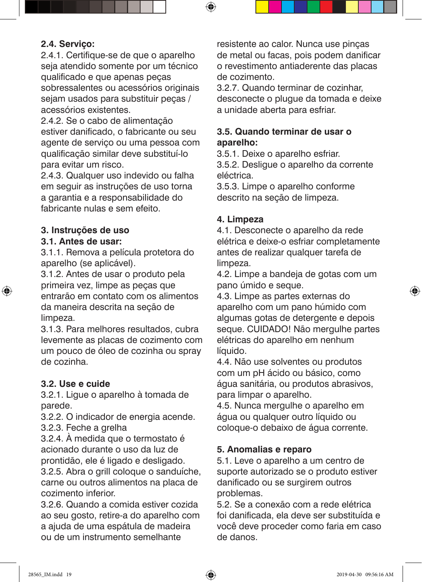#### **2.4. Serviço:**

2.4.1. Certifique-se de que o aparelho seja atendido somente por um técnico qualificado e que apenas peças sobressalentes ou acessórios originais sejam usados para substituir peças / acessórios existentes.

2.4.2. Se o cabo de alimentação estiver danificado, o fabricante ou seu agente de serviço ou uma pessoa com qualificação similar deve substituí-lo para evitar um risco.

2.4.3. Qualquer uso indevido ou falha em seguir as instruções de uso torna a garantia e a responsabilidade do fabricante nulas e sem efeito.

#### **3. Instruções de uso**

#### **3.1. Antes de usar:**

⊕

3.1.1. Remova a película protetora do aparelho (se aplicável).

3.1.2. Antes de usar o produto pela primeira vez, limpe as peças que entrarão em contato com os alimentos da maneira descrita na seção de limpeza.

3.1.3. Para melhores resultados, cubra levemente as placas de cozimento com um pouco de óleo de cozinha ou spray de cozinha.

#### **3.2. Use e cuide**

3.2.1. Ligue o aparelho à tomada de parede.

3.2.2. O indicador de energia acende.

3.2.3. Feche a grelha

3.2.4. À medida que o termostato é acionado durante o uso da luz de prontidão, ele é ligado e desligado.

3.2.5. Abra o grill coloque o sanduíche, carne ou outros alimentos na placa de cozimento inferior.

3.2.6. Quando a comida estiver cozida ao seu gosto, retire-a do aparelho com a ajuda de uma espátula de madeira ou de um instrumento semelhante

resistente ao calor. Nunca use pinças de metal ou facas, pois podem danificar o revestimento antiaderente das placas de cozimento.

3.2.7. Quando terminar de cozinhar, desconecte o plugue da tomada e deixe a unidade aberta para esfriar.

#### **3.5. Quando terminar de usar o aparelho:**

3.5.1. Deixe o aparelho esfriar.

3.5.2. Desligue o aparelho da corrente eléctrica.

3.5.3. Limpe o aparelho conforme descrito na seção de limpeza.

#### **4. Limpeza**

⊕

4.1. Desconecte o aparelho da rede elétrica e deixe-o esfriar completamente antes de realizar qualquer tarefa de limpeza.

4.2. Limpe a bandeja de gotas com um pano úmido e seque.

4.3. Limpe as partes externas do aparelho com um pano húmido com algumas gotas de detergente e depois seque. CUIDADO! Não mergulhe partes elétricas do aparelho em nenhum líquido.

4.4. Não use solventes ou produtos com um pH ácido ou básico, como água sanitária, ou produtos abrasivos, para limpar o aparelho.

4.5. Nunca mergulhe o aparelho em água ou qualquer outro líquido ou coloque-o debaixo de água corrente.

#### **5. Anomalias e reparo**

5.1. Leve o aparelho a um centro de suporte autorizado se o produto estiver danificado ou se surgirem outros problemas.

5.2. Se a conexão com a rede elétrica foi danificada, ela deve ser substituída e você deve proceder como faria em caso de danos.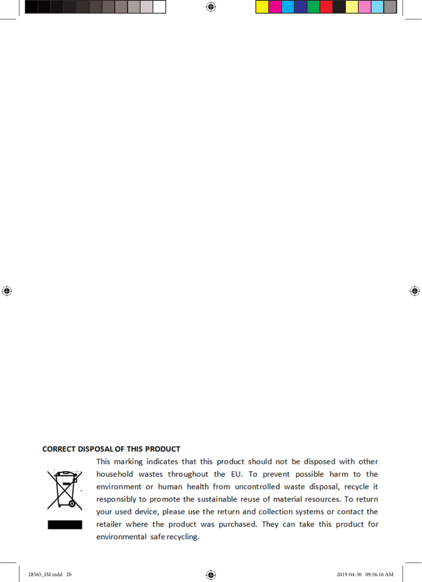#### **CORRECT DISPOSAL OF THIS PRODUCT**



⊕

This marking indicates that this product should not be disposed with other household wastes throughout the EU. To prevent possible harm to the environment or human health from uncontrolled waste disposal, recycle it responsibly to promote the sustainable reuse of material resources. To return your used device, please use the return and collection systems or contact the retailer where the product was purchased. They can take this product for environmental safe recycling.

 $\bigoplus$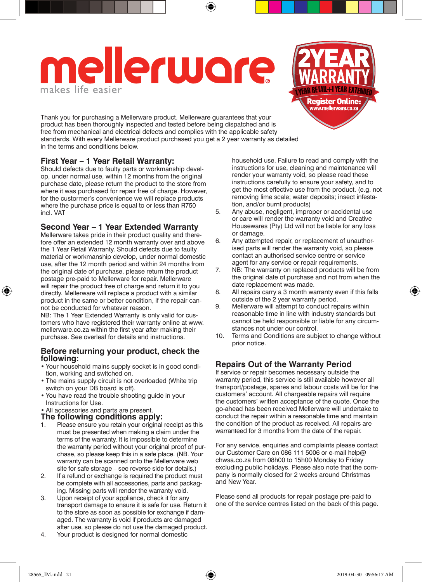## mellerware makes life easier



Thank you for purchasing a Mellerware product. Mellerware guarantees that your product has been thoroughly inspected and tested before being dispatched and is free from mechanical and electrical defects and complies with the applicable safety standards. With every Mellerware product purchased you get a 2 year warranty as detailed in the terms and conditions below.

#### **First Year – 1 Year Retail Warranty:**

Should defects due to faulty parts or workmanship develop, under normal use, within 12 months from the original purchase date, please return the product to the store from where it was purchased for repair free of charge. However, for the custormer's convenience we will replace products where the purchase price is equal to or less than R750 incl. VAT

#### **Second Year – 1 Year Extended Warranty**

Mellerware takes pride in their product quality and therefore offer an extended 12 month warranty over and above the 1 Year Retail Warranty. Should defects due to faulty material or workmanship develop, under normal domestic use, after the 12 month period and within 24 months from the original date of purchase, please return the product postage pre-paid to Mellerware for repair. Mellerware will repair the product free of charge and return it to you directly. Mellerware will replace a product with a similar product in the same or better condition, if the repair cannot be conducted for whatever reason.

NB: The 1 Year Extended Warranty is only valid for customers who have registered their warranty online at www. mellerware.co.za within the first year after making their purchase. See overleaf for details and instructions.

#### **Before returning your product, check the following:**

- • Your household mains supply socket is in good condition, working and switched on.
- The mains supply circuit is not overloaded (White trip switch on your DB board is off).
- • You have read the trouble shooting guide in your Instructions for Use.
- • All accessories and parts are present.

#### **The following conditions apply:**

- Please ensure you retain your original receipt as this must be presented when making a claim under the terms of the warranty. It is impossible to determine the warranty period without your original proof of purchase, so please keep this in a safe place. (NB. Your warranty can be scanned onto the Mellerware web site for safe storage – see reverse side for details.)
- 2. If a refund or exchange is required the product must be complete with all accessories, parts and packaging. Missing parts will render the warranty void.
- 3. Upon receipt of your appliance, check it for any transport damage to ensure it is safe for use. Return it to the store as soon as possible for exchange if damaged. The warranty is void if products are damaged after use, so please do not use the damaged product.
- 4. Your product is designed for normal domestic

household use. Failure to read and comply with the instructions for use, cleaning and maintenance will render your warranty void, so please read these instructions carefully to ensure your safety, and to get the most effective use from the product. (e.g. not removing lime scale; water deposits; insect infestation, and/or burnt products)

- 5. Any abuse, negligent, improper or accidental use or care will render the warranty void and Creative Housewares (Pty) Ltd will not be liable for any loss or damage.
- 6. Any attempted repair, or replacement of unauthorised parts will render the warranty void, so please contact an authorised service centre or service agent for any service or repair requirements.
- 7. NB: The warranty on replaced products will be from the original date of purchase and not from when the date replacement was made.
- 8. All repairs carry a 3 month warranty even if this falls outside of the 2 year warranty period.
- 9. Mellerware will attempt to conduct repairs within reasonable time in line with industry standards but cannot be held responsible or liable for any circumstances not under our control.
- 10. Terms and Conditions are subject to change without prior notice.

#### **Repairs Out of the Warranty Period**

If service or repair becomes necessary outside the warranty period, this service is still available however all transport/postage, spares and labour costs will be for the customers' account. All chargeable repairs will require the customers' written acceptance of the quote. Once the go-ahead has been received Mellerware will undertake to conduct the repair within a reasonable time and maintain the condition of the product as received. All repairs are warranteed for 3 months from the date of the repair.

For any service, enquiries and complaints please contact our Customer Care on 086 111 5006 or e-mail help**@** chwsa.co.za from 08h00 to 15h00 Monday to Friday excluding public holidays. Please also note that the company is normally closed for 2 weeks around Christmas and New Year.

Please send all products for repair postage pre-paid to one of the service centres listed on the back of this page.

↔

♠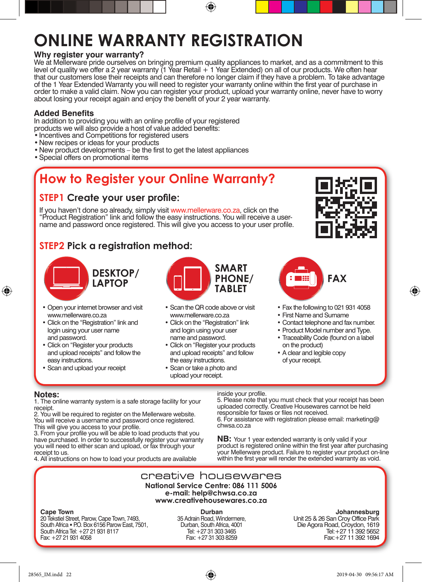## **ONLINE WARRANTY REGISTRATION**

#### **Why register your warranty?**

We at Mellerware pride ourselves on bringing premium quality appliances to market, and as a commitment to this level of quality we offer a 2 year warranty (1 Year Retail + 1 Year Extended) on all of our products. We often hear that our customers lose their receipts and can therefore no longer claim if they have a problem. To take advantage of the 1 Year Extended Warranty you will need to register your warranty online within the first year of purchase in order to make a valid claim. Now you can register your product, upload your warranty online, never have to worry about losing your receipt again and enjoy the benefit of your 2 year warranty.

⊕

#### **Added Benefits**

In addition to providing you with an online profile of your registered products we will also provide a host of value added benefits:

- Incentives and Competitions for registered users
- • New recipes or ideas for your products
- New product developments be the first to get the latest appliances
- • Special offers on promotional items

### **How to Register your Online Warranty?**

#### **STEP1 Create your user profile:**

If you haven't done so already, simply visit www.mellerware.co.za, click on the "Product Registration" link and follow the easy instructions. You will receive a username and password once registered. This will give you access to your user profile.

#### **STEP2 Pick a registration method:**



- Open your internet browser and visit www.mellerware.co.za
- • Click on the "Registration" link and login using your user name and password.
- Click on "Register your products and upload receipts" and follow the easy instructions.
- • Scan and upload your receipt



- • Scan the QR code above or visit www.mellerware.co.za
- Click on the "Registration" link and login using your user name and password.
- • Click on "Register your products and upload receipts" and follow the easy instructions.
- • Scan or take a photo and upload your receipt.



♠



- Fax the following to 021 931 4058
- • First Name and Surname
- • Contact telephone and fax number.
- Product Model number and Type.
- Traceability Code (found on a label on the product)
- • A clear and legible copy of your receipt.

#### **Notes:**

⊕

1. The online warranty system is a safe storage facility for your receipt.

2. You will be required to register on the Mellerware website. You will receive a username and password once registered.

This will give you access to your profile. 3. From your profile you will be able to load products that you have purchased. In order to successfully register your warranty you will need to either scan and upload, or fax through your receipt to us.

4. All instructions on how to load your products are available

#### inside your profile.

5. Please note that you must check that your receipt has been uploaded correctly. Creative Housewares cannot be held responsible for faxes or files not received.

6. For assistance with registration please email: marketing**@** chwsa.co.za

**NB:** Your 1 year extended warranty is only valid if your product is registered online within the first year after purchasing your Mellerware product. Failure to register your product on-line within the first year will render the extended warranty as void.

#### creative housewares **National Service Centre: 086 111 5006 e-mail: help@chwsa.co.za www.creativehousewares.co.za**

#### **Cape Town**

20 Tekstiel Street, Parow, Cape Town, 7493, South Africa • P.O. Box 6156 Parow East, 7501, South Africa Tel: +27 21 931 8117 Fax: +27 21 931 4058

**Durban**  35 Adrain Road, Windermere, Durban, South Africa, 4001 Tel: +27 31 303 3465 Fax: +27 31 303 8259

#### **Johannesburg**

Unit 25 & 26 San Croy Office Park Die Agora Road, Croydon, 1619 Tel:+27 11 392 5652 Fax:+27 11 392 1694

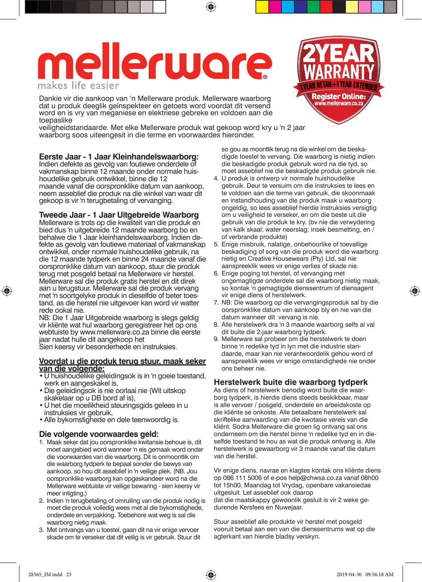## mellerware makes life easier

Dankie vir die aankoop van 'n Mellerware produk. Mellerware waarborg dat u produk deeglik geïnspekteer en getoets word voordat dit versend word en is vry van meganiese en elektriese gebreke en voldoen aan die toepaslike

veiligheidstandaarde. Met elke Mellerware produk wat gekoop word kry u 'n 2 jaar waarborg soos uiteengesit in die terme en voorwaardes hieronder.

#### **Eerste Jaar - 1 Jaar Kleinhandelswaarborg:**

Indien defekte as gevolg van foutiewe onderdele of vakmanskap binne 12 maande onder normale huishoudelike gebruik ontwikkel, binne die 12 maande vanaf die oorspronklike datum van aankoop, neem asseblief die produk na die winkel van waar dit gekoop is vir 'n terugbetaling of vervanging.

#### **Tweede Jaar - 1 Jaar Uitgebreide Waarborg**

Mellerware is trots op die kwaliteit van die produk en bied dus 'n uitgebreide 12 maande waarborg bo en behalwe die 1 Jaar kleinhandelswaarborg. Indien defekte as gevolg van foutiewe materiaal of vakmanskap ontwikkel, onder normale huishoudelike gebruik, na die 12 maande tydperk en binne 24 maande vanaf die oorspronklike datum van aankoop, stuur die produk terug met posgeld betaal na Mellerware vir herstel. Mellerware sal die produk gratis herstel en dit direk aan u terugstuur. Mellerware sal die produk vervang met 'n soortgelyke produk in dieselfde of beter toestand, as die herstel nie uitgevoer kan word vir watter rede ookal nie.

NB: Die 1 Jaar Uitgebreide waarborg is slegs geldig vir kliënte wat hul waarborg geregistreer het op ons webtuiste by www.mellerware.co.za binne die eerste jaar nadat hulle dit aangekoop het

Sien keersy vir besonderhede en instruksies.

#### **Voordat u die produk terug stuur, maak seker van die volgende:**

- • U huishoudelike geleidingsok is in 'n goeie toestand, werk en aangeskakel is,
- • Die geleidingsok is nie oorlaai nie (Wit uitskop skakelaar op u DB bord af is),
- • U het die moeilikheid steuringsgids gelees in u instruksies vir gebruik,
- Alle bykomstighede en dele teenwoordig is.

#### **Die volgende voorwaardes geld:**

- 1. Maak seker dat jou oorspronklike kwitansie behoue is, dit moet aangebied word wanneer 'n eis gemaak word onder die voorwaardes van die waarborg. Dit is onmoontlik om die waarborg tydperk te bepaal sonder die bewys van aankoop, so hou dit asseblief in 'n veilige plek. (NB. Jou oorspronklike waarborg kan opgeskandeer word na die Mellerware webtuiste vir veilige bewaring - sien keersy vir meer inligting.)
- 2. Indien 'n terugbetaling of omruiling van die produk nodig is moet die produk volledig wees met al die bykomstighede, onderdele en verpakking. Toebehore wat weg is sal die waarborg nietig maak.
- 3. Met ontvangs van u toestel, gaan dit na vir enige vervoer skade om te verseker dat dit veilig is vir gebruik. Stuur dit

so gou as moontlik terug na die winkel om die beskadigde toestel te vervang. Die waarborg is nietig indien die beskadigde produk gebruik word na die tyd, so moet asseblief nie die beskadigde produk gebruik nie.

- 4. U produk is ontwerp vir normale huishoudelike gebruik. Deur te versuim om die instruksies te lees en te voldoen aan die terme van gebruik, die skoonmaak en instandhouding van die produk maak u waarborg ongeldig, so lees asseblief hierdie instruksies versigtig om u veiligheid te verseker, en om die beste uit die gebruik van die produk te kry. (bv nie die verwydering van kalk skaal; water neerslag; insek besmetting, en / of verbrande produkte)
- 5. Enige misbruik, nalatige, onbehoorlike of toevallige beskadiging of sorg van die produk word die waarborg nietig en Creative Housewears (Pty) Ltd, sal nie aanspreeklik wees vir enige verlies of skade nie.
- 6. Enige poging tot herstel, of vervanging met ongemagtigde onderdele sal die waarborg nietig maak, so kontak 'n gemagtigde dienssentrum of diensagent vir enige diens of herstelwerk.
- 7. NB: Die waarborg op die vervangingsproduk sal by die oorspronklike datum van aankoop bly en nie van die datum wanneer dit vervang is nie.
- 8. Alle herstelwerk dra 'n 3 maande waarborg selfs al val dit buite die 2-jaar waarborg tydperk.
- 9. Mellerware sal probeer om die herstelwerk te doen binne 'n redelike tyd in lyn met die industrie standaarde, maar kan nie verantwoordelik gehou word of aanspreeklik wees vir enige omstandighede nie onder ons beheer nie.

#### **Herstelwerk buite die waarborg tydperk**

As diens of herstelwerk benodig word buite die waarborg tydperk, is hierdie diens steeds beskikbaar, maar is alle vervoer / posgeld, onderdele en arbeidskoste op die kliënte se onkoste. Alle betaalbare herstelwerk sal skriftelike aanvaarding van die kwotasie vereis van die kliënt. Sodra Mellerware die groen lig ontvang sal ons onderneem om die herstel binne 'n redelike tyd en in dieselfde toestand te hou as wat die produk ontvang is. Alle herstelwerk is gewaarborg vir 3 maande vanaf die datum van die herstel.

Vir enige diens, navrae en klagtes kontak ons kliënte diens op 086 111 5006 of e-pos help**@**chwsa.co.za vanaf 08h00 tot 15h00, Maandag tot Vrydag, openbare vakansiedae uitgesluit. Let asseblief ook daarop dat die maatskappy gewoonlik gesluit is vir 2 weke gedurende Kersfees en Nuwejaar.

Stuur asseblief alle produkte vir herstel met posgeld vooruit betaal aan een van die dienssentrums wat op die agterkant van hierdie bladsy verskyn.



↔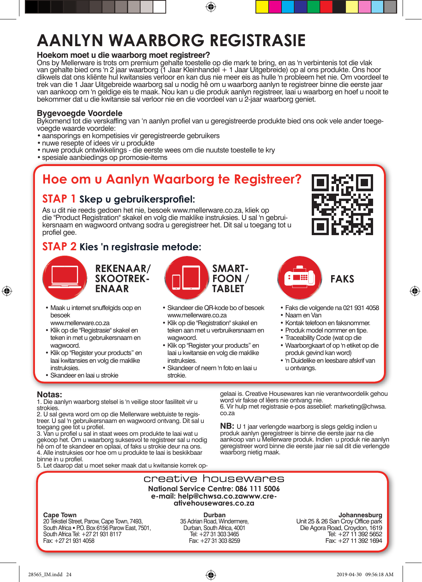## **AANLYN WAARBORG REGISTRASIE**

#### **Hoekom moet u die waarborg moet registreer?**

Ons by Mellerware is trots om premium gehalte toestelle op die mark te bring, en as 'n verbintenis tot die vlak van gehalte bied ons 'n 2 jaar waarborg (1 Jaar Kleinhandel + 1 Jaar Uitgebreide) op al ons produkte. Ons hoor dikwels dat ons kliënte hul kwitansies verloor en kan dus nie meer eis as hulle 'n probleem het nie. Om voordeel te trek van die 1 Jaar Uitgebreide waarborg sal u nodig hê om u waarborg aanlyn te registreer binne die eerste jaar van aankoop om 'n geldige eis te maak. Nou kan u die produk aanlyn registreer, laai u waarborg en hoef u nooit te bekommer dat u die kwitansie sal verloor nie en die voordeel van u 2-jaar waarborg geniet.

⊕

#### **Bygevoegde Voordele**

Bykomend tot die verskaffing van 'n aanlyn profiel van u geregistreerde produkte bied ons ook vele ander toegevoegde waarde voordele:

- • aansporings en kompetisies vir geregistreerde gebruikers
- nuwe resepte of idees vir u produkte
- • nuwe produk ontwikkelings die eerste wees om die nuutste toestelle te kry
- spesiale aanbiedings op promosie-items

### **Hoe om u Aanlyn Waarborg te Registreer?**

#### **STAP 1 Skep u gebruikersprofiel:**

As u dit nie reeds gedoen het nie, besoek www.mellerware.co.za, kliek op die "Product Registration" skakel en volg die maklike instruksies. U sal 'n gebruikersnaam en wagwoord ontvang sodra u geregistreer het. Dit sal u toegang tot u profiel gee.

#### **STAP 2 Kies 'n registrasie metode:**



⊕

**REKENAAR/ SKOOTREK-ENAAR**

- Maak u internet snuffelgids oop en besoek
	- www.mellerware.co.za
- • Klik op die "Registrasie" skakel en teken in met u gebruikersnaam en wagwoord.
- Klik op "Register your products" en laai kwitansies en volg die maklike instruksies.
- • Skandeer en laai u strokie



- • Skandeer die QR-kode bo of besoek www.mellerware.co.za
- • Klik op die "Registration" skakel en teken aan met u verbruikersnaam en wagwoord
- • Klik op "Register your products" en laai u kwitansie en volg die maklike instruksies.
- • Skandeer of neem 'n foto en laai u strokie.



♠



- • Faks die volgende na 021 931 4058
- • Naam en Van
- • Kontak telefoon en faksnommer.
- Produk model nommer en tipe.
- • Traceability Code (wat op die
- • Waarborgkaart of op 'n etiket op die produk gevind kan word)
- • 'n Duidelike en leesbare afskrif van u ontvangs.

#### **Notas:**

1. Die aanlyn waarborg stelsel is 'n veilige stoor fasiliteit vir u strokies.<br>2. U sal gevra word om op die Mellerware webtuiste te regis-

treer. U sal 'n gebruikersnaam en wagwoord ontvang. Dit sal u toegang gee tot u profiel.

3. Van u profiel u sal in staat wees om produkte te laai wat u gekoop het. Om u waarborg suksesvol te registreer sal u nodig hê om of te skandeer en oplaai, of faks u strokie deur na ons. 4. Alle instruksies oor hoe om u produkte te laai is beskikbaar binne in u profiel.

5. Let daarop dat u moet seker maak dat u kwitansie korrek op-

gelaai is. Creative Housewares kan nie verantwoordelik gehou word vir fakse of lêers nie ontvang nie.

6. Vir hulp met registrasie e-pos asseblief: marketing**@**chwsa. co.za

**NB:** U 1 jaar verlengde waarborg is slegs geldig indien u produk aanlyn geregistreer is binne die eerste jaar na die aankoop van u Mellerware produk. Indien u produk nie aanlyn geregistreer word binne die eerste jaar nie sal dit die verlengde waarborg nietig maak.



28565\_IM.indd 24 2019-04-30 09:56:18 AM